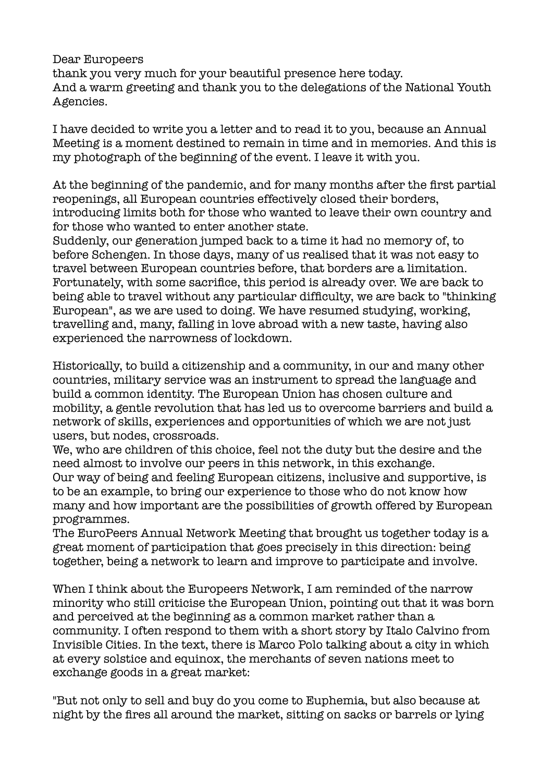Dear Europeers thank you very much for your beautiful presence here today. And a warm greeting and thank you to the delegations of the National Youth Agencies.

I have decided to write you a letter and to read it to you, because an Annual Meeting is a moment destined to remain in time and in memories. And this is my photograph of the beginning of the event. I leave it with you.

At the beginning of the pandemic, and for many months after the first partial reopenings, all European countries effectively closed their borders, introducing limits both for those who wanted to leave their own country and for those who wanted to enter another state.

Suddenly, our generation jumped back to a time it had no memory of, to before Schengen. In those days, many of us realised that it was not easy to travel between European countries before, that borders are a limitation. Fortunately, with some sacrifice, this period is already over. We are back to being able to travel without any particular difficulty, we are back to "thinking European", as we are used to doing. We have resumed studying, working, travelling and, many, falling in love abroad with a new taste, having also experienced the narrowness of lockdown.

Historically, to build a citizenship and a community, in our and many other countries, military service was an instrument to spread the language and build a common identity. The European Union has chosen culture and mobility, a gentle revolution that has led us to overcome barriers and build a network of skills, experiences and opportunities of which we are not just users, but nodes, crossroads.

We, who are children of this choice, feel not the duty but the desire and the need almost to involve our peers in this network, in this exchange. Our way of being and feeling European citizens, inclusive and supportive, is to be an example, to bring our experience to those who do not know how many and how important are the possibilities of growth offered by European programmes.

The EuroPeers Annual Network Meeting that brought us together today is a great moment of participation that goes precisely in this direction: being together, being a network to learn and improve to participate and involve.

When I think about the Europeers Network, I am reminded of the narrow minority who still criticise the European Union, pointing out that it was born and perceived at the beginning as a common market rather than a community. I often respond to them with a short story by Italo Calvino from Invisible Cities. In the text, there is Marco Polo talking about a city in which at every solstice and equinox, the merchants of seven nations meet to exchange goods in a great market:

"But not only to sell and buy do you come to Euphemia, but also because at night by the fires all around the market, sitting on sacks or barrels or lying